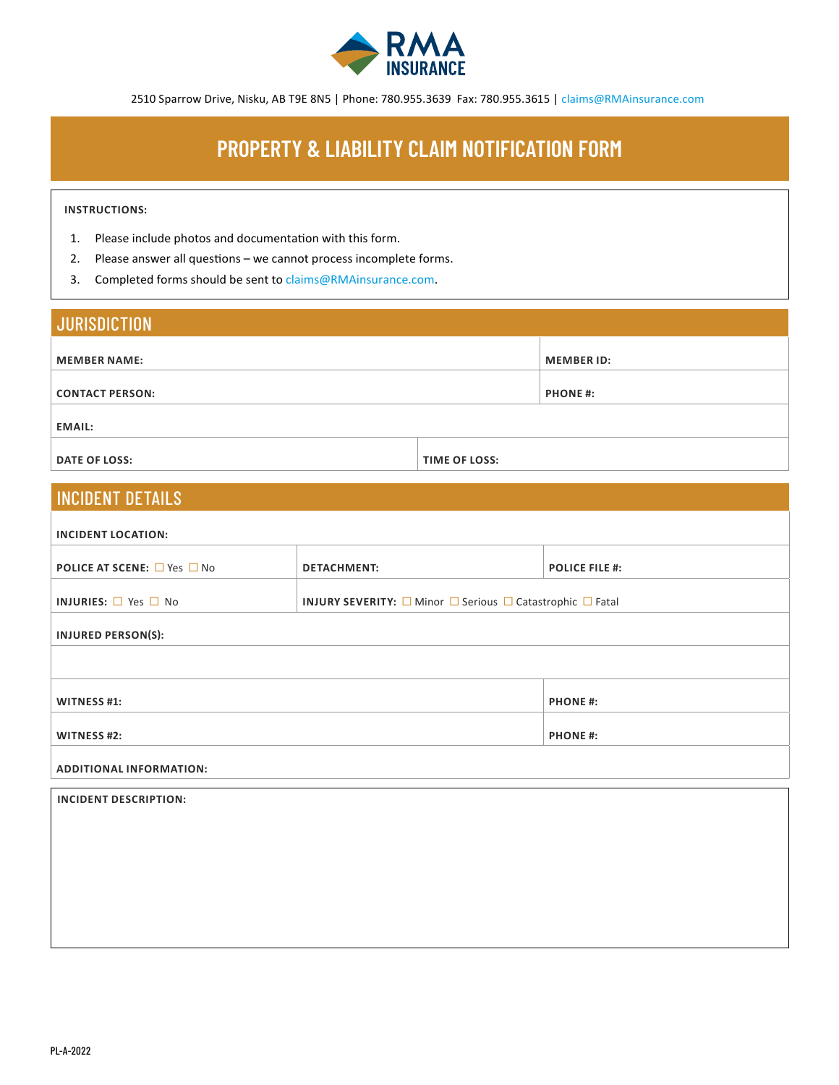

2510 Sparrow Drive, Nisku, AB T9E 8N5 | Phone: 780.955.3639 Fax: 780.955.3615 | claims@RMAinsurance.com

## **PROPERTY & LIABILITY CLAIM NOTIFICATION FORM**

## **INSTRUCTIONS:**

- 1. Please include photos and documentation with this form.
- 2. Please answer all questions we cannot process incomplete forms.
- 3. Completed forms should be sent to claims@RMAinsurance.com.

| <b>JURISDICTION</b>    |                      |                   |  |
|------------------------|----------------------|-------------------|--|
| <b>MEMBER NAME:</b>    |                      | <b>MEMBER ID:</b> |  |
| <b>CONTACT PERSON:</b> |                      | <b>PHONE#:</b>    |  |
| <b>EMAIL:</b>          |                      |                   |  |
| <b>DATE OF LOSS:</b>   | <b>TIME OF LOSS:</b> |                   |  |

## INCIDENT DETAILS

| INCIDENT LOCATION:                           |                    |                                                                                      |  |
|----------------------------------------------|--------------------|--------------------------------------------------------------------------------------|--|
|                                              |                    |                                                                                      |  |
| <b>POLICE AT SCENE:</b> $\Box$ Yes $\Box$ No | <b>DETACHMENT:</b> | <b>POLICE FILE #:</b>                                                                |  |
|                                              |                    |                                                                                      |  |
| <b>INJURIES:</b> $\Box$ Yes $\Box$ No        |                    | <b>INJURY SEVERITY:</b> $\Box$ Minor $\Box$ Serious $\Box$ Catastrophic $\Box$ Fatal |  |
|                                              |                    |                                                                                      |  |
| <b>INJURED PERSON(S):</b>                    |                    |                                                                                      |  |
|                                              |                    |                                                                                      |  |
|                                              |                    |                                                                                      |  |
|                                              |                    |                                                                                      |  |
| <b>WITNESS #1:</b>                           |                    | <b>PHONE#:</b>                                                                       |  |
|                                              |                    |                                                                                      |  |
| <b>WITNESS #2:</b>                           |                    | <b>PHONE#:</b>                                                                       |  |
|                                              |                    |                                                                                      |  |
| <b>ADDITIONAL INFORMATION:</b>               |                    |                                                                                      |  |
|                                              |                    |                                                                                      |  |
| <b>INCIDENT DESCRIPTION:</b>                 |                    |                                                                                      |  |